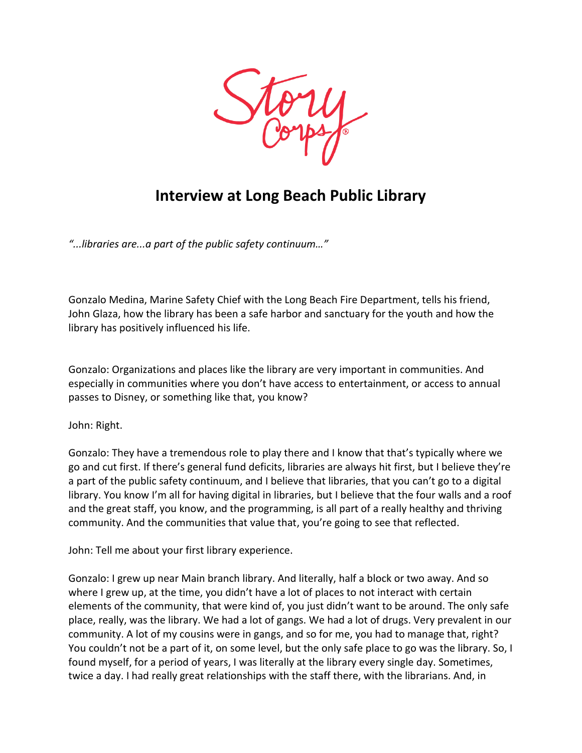

## **Interview at Long Beach Public Library**

*"...libraries are...a part of the public safety continuum…"*

Gonzalo Medina, Marine Safety Chief with the Long Beach Fire Department, tells his friend, John Glaza, how the library has been a safe harbor and sanctuary for the youth and how the library has positively influenced his life.

Gonzalo: Organizations and places like the library are very important in communities. And especially in communities where you don't have access to entertainment, or access to annual passes to Disney, or something like that, you know?

John: Right.

Gonzalo: They have a tremendous role to play there and I know that that's typically where we go and cut first. If there's general fund deficits, libraries are always hit first, but I believe they're a part of the public safety continuum, and I believe that libraries, that you can't go to a digital library. You know I'm all for having digital in libraries, but I believe that the four walls and a roof and the great staff, you know, and the programming, is all part of a really healthy and thriving community. And the communities that value that, you're going to see that reflected.

John: Tell me about your first library experience.

Gonzalo: I grew up near Main branch library. And literally, half a block or two away. And so where I grew up, at the time, you didn't have a lot of places to not interact with certain elements of the community, that were kind of, you just didn't want to be around. The only safe place, really, was the library. We had a lot of gangs. We had a lot of drugs. Very prevalent in our community. A lot of my cousins were in gangs, and so for me, you had to manage that, right? You couldn't not be a part of it, on some level, but the only safe place to go was the library. So, I found myself, for a period of years, I was literally at the library every single day. Sometimes, twice a day. I had really great relationships with the staff there, with the librarians. And, in